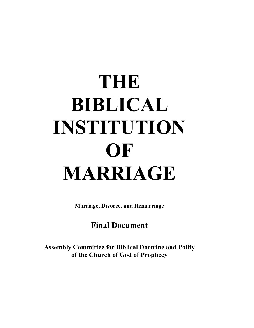# **THE BIBLICAL INSTITUTION OF MARRIAGE**

**Marriage, Divorce, and Remarriage**

# **Final Document**

**Assembly Committee for Biblical Doctrine and Polity of the Church of God of Prophecy**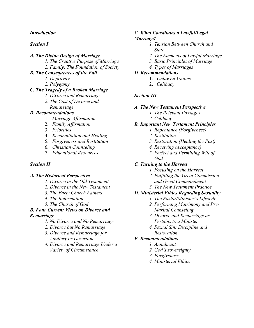#### *Introduction*

#### *Section I*

#### *A. The Divine Design of Marriage*

- *1. The Creative Purpose of Marriage*
- *2. Family: The Foundation of Society*

#### *B. The Consequences of the Fall*

- *1. Depravity*
- *2. Polygamy*

# *C. The Tragedy of a Broken Marriage*

- *1. Divorce and Remarriage*
- *2. The Cost of Divorce and Remarriage*

#### *D. Recommendations*

- 1. *Marriage Affirmation*
- 2. *Family Affirmation*
- 3. *Priorities*
- 4. *Reconciliation and Healing*
- 5. *Forgiveness and Restitution*
- 6. *Christian Counseling*
- 7. *Educational Resources*

#### *Section II*

#### *A. The Historical Perspective*

- *1. Divorce in the Old Testament*
- *2. Divorce in the New Testament*
- *3. The Early Church Fathers*
- *4. The Reformation*
- *5. The Church of God*

#### *B. Four Current Views on Divorce and Remarriage*

- *1. No Divorce and No Remarriage*
- *2. Divorce but No Remarriage*
- *3. Divorce and Remarriage for Adultery or Desertion*
- *4. Divorce and Remarriage Under a Variety of Circumstance*

#### *C. What Constitutes a Lawful/Legal Marriage?*

- *1. Tension Between Church and State*
- *2. The Elements of Lawful Marriage*
- *3. Basic Principles of Marriage*
- *4. Types of Marriages*

# *D. Recommendations*

- 1. *Unlawful Unions*
- 2. *Celibacy*

# *Section III*

#### *A. The New Testament Perspective*

- *1. The Relevant Passages*
- *2. Celibacy*

# *B. Important New Testament Principles*

- *1. Repentance (Forgiveness)*
- *2. Restitution*
- *3. Restoration (Healing the Past)*
- *4. Receiving (Acceptance)*
- *5. Perfect and Permitting Will of God*

# *C. Turning to the Harvest*

- *1. Focusing on the Harvest*
- *2. Fulfilling the Great Commission and Great Commandment*
- *3. The New Testament Practice*

# *D. Ministerial Ethics Regarding Sexuality*

- *1. The Pastor/Minister's Lifestyle*
- *2. Performing Matrimony and Pre- Marital Counseling*
- *3. Divorce and Remarriage as Pertains to a Minister*
- *4. Sexual Sin: Discipline and Restoration*

# *E. Recommendations*

- *1. Annulment*
	- *2. God's sovereignty*
	- *3. Forgiveness*
	- *4. Ministerial Ethics*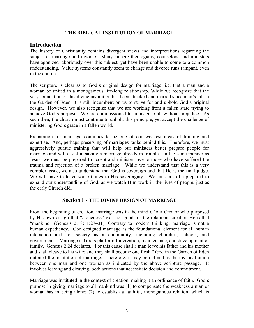#### **THE BIBLICAL INSTITUTION OF MARRIAGE**

#### **Introduction**

The history of Christianity contains divergent views and interpretations regarding the subject of marriage and divorce. Many sincere theologians, counselors, and ministers have agonized laboriously over this subject, yet have been unable to come to a common understanding. Value systems constantly seem to change and divorce runs rampant, even in the church.

The scripture is clear as to God's original design for marriage: i.e. that a man and a woman be united in a monogamous life-long relationship. While we recognize that the very foundation of this divine institution has been attacked and marred since man's fall in the Garden of Eden, it is still incumbent on us to strive for and uphold God's original design. However, we also recognize that we are working from a fallen state trying to achieve God's purpose. We are commissioned to minister to all without prejudice. As such then, the church must continue to uphold this principle, yet accept the challenge of ministering God's grace in a fallen world.

Preparation for marriage continues to be one of our weakest areas of training and expertise. And, perhaps preserving of marriages ranks behind this. Therefore, we must aggressively pursue training that will help our ministers better prepare people for marriage and will assist in saving a marriage already in trouble. In the same manner as Jesus, we must be prepared to accept and minister love to those who have suffered the trauma and rejection of a broken marriage. While we understand that this is a very complex issue, we also understand that God is sovereign and that He is the final judge. We will have to leave some things to His sovereignty. We must also be prepared to expand our understanding of God, as we watch Him work in the lives of people, just as the early Church did.

#### **Section I - THE DIVINE DESIGN OF MARRIAGE**

From the beginning of creation, marriage was in the mind of our Creator who purposed by His own design that "aloneness" was not good for the relational creature He called "mankind" (Genesis 2:18; 1:27–31). Contrary to modern thinking, marriage is not a human expediency. God designed marriage as the foundational element for all human interaction and for society as a community, including churches, schools, and governments. Marriage is God's platform for creation, maintenance, and development of family. Genesis 2:24 declares, "For this cause shall a man leave his father and his mother and shall cleave to his wife; and they shall become one flesh." God in the Garden of Eden initiated the institution of marriage. Therefore, it may be defined as the mystical union between one man and one woman as indicated by the above scripture passage. involves leaving and cleaving, both actions that necessitate decision and commitment.

Marriage was instituted in the context of creation, making it an ordinance of faith. God's purpose in giving marriage to all mankind was (1) to compensate the weakness a man or woman has in being alone; (2) to establish a faithful, monogamous relation, which is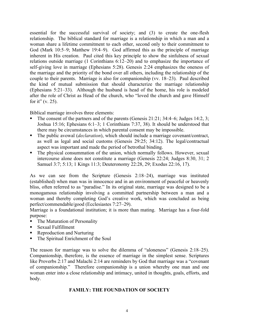essential for the successful survival of society; and (3) to create the one-flesh relationship. The biblical standard for marriage is a relationship in which a man and a woman share a lifetime commitment to each other, second only to their commitment to God (Mark 10:5–9; Matthew 19:4–9). God affirmed this as the principle of marriage inherent in His creation. Paul cited this key principle to show the sinfulness of sexual relations outside marriage (1 Corinthians 6:12–20) and to emphasize the importance of self-giving love in marriage (Ephesians 5:28). Genesis 2:24 emphasizes the oneness of the marriage and the priority of the bond over all others, including the relationship of the couple to their parents. Marriage is also for companionship (vv. 18–23). Paul described the kind of mutual submission that should characterize the marriage relationship (Ephesians 5:21–33). Although the husband is head of the home, his role is modeled after the role of Christ as Head of the church, who "loved the church and gave Himself for it"  $(v. 25)$ .

Biblical marriage involves three elements:

- § The consent of the partners and of the parents (Genesis 21:21; 34:4–6; Judges 14:2, 3; Joshua 15:16; Ephesians 6:1–3; 1 Corinthians 7:37, 38). It should be understood that there may be circumstances in which parental consent may be impossible.
- The public avowal *(declaration)*, which should include a marriage covenant/contract, as well as legal and social customs (Genesis 29:25; 34:12). The legal/contractual aspect was important and made the period of betrothal binding.
- The physical consummation of the union, which normally follows. However, sexual intercourse alone does not constitute a marriage (Genesis 22:24; Judges 8:30, 31; 2 Samuel 3:7; 5:13; 1 Kings 11:3; Deuteronomy 22:28, 29; Exodus 22:16, 17).

As we can see from the Scripture (Genesis 2:18–24), marriage was instituted (established) when man was in innocence and in an environment of peaceful or heavenly bliss, often referred to as "paradise." In its original state, marriage was designed to be a monogamous relationship involving a committed partnership between a man and a woman and thereby completing God's creative work, which was concluded as being perfect/commendable/good (Ecclesiastes 7:27–29).

Marriage is a foundational institution; it is more than mating. Marriage has a four-fold purpose:

- The Maturation of Personality
- Sexual Fulfillment
- § Reproduction and Nurturing
- The Spiritual Enrichment of the Soul

The reason for marriage was to solve the dilemma of "aloneness" (Genesis 2:18–25). Companionship, therefore, is the essence of marriage in the simplest sense. Scriptures like Proverbs 2:17 and Malachi 2:14 are reminders by God that marriage was a "covenant" of companionship." Therefore companionship is a union whereby one man and one woman enter into a close relationship and intimacy, united in thoughts, goals, efforts, and body.

#### **FAMILY: THE FOUNDATION OF SOCIETY**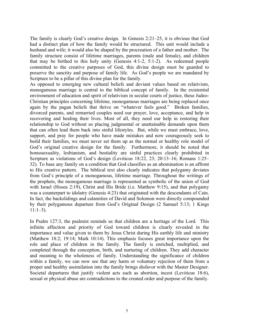The family is clearly God's creative design. In Genesis 2:21–25, it is obvious that God had a distinct plan of how the family would be structured. This unit would include a husband and wife; it would also be shaped by the procreation of a father and mother. The family structure consist of lifetime marriages, parents (male and female), and children that may be birthed to this holy unity (Genesis 4:1-2, 5:1-2). As redeemed people committed to the creative purposes of God, this divine design must be guarded to preserve the sanctity and purpose of family life. As God's people we are mandated by Scripture to be a pillar of this divine plan for the family.

As opposed to emerging new cultural beliefs and deviant values based on relativism, monogamous marriage is central to the biblical concept of family. In the existential environment of education and spirit of relativism in secular courts of justice, these Judeo-Christian principles concerning lifetime, monogamous marriages are being replaced once again by the pagan beliefs that thrive on "whatever feels good." Broken families, divorced parents, and remarried couples need our prayer, love, acceptance, and help in recovering and healing their lives. Most of all, they need our help in restoring their relationship to God without us placing judgmental or unattainable demands upon them that can often lead them back into sinful lifestyles. But, while we must embrace, love, support, and pray for people who have made mistakes and now courageously seek to build their families, we must never set them up as the normal or healthy role model of God's original creative design for the family. Furthermore, it should be noted that homosexuality, lesbianism, and bestiality are sinful practices clearly prohibited in Scripture as violations of God's design (Leviticus 18:22, 23; 20:13–16; Romans 1:25– 32). To base any family on a condition that God classifies as an abomination is an affront to His creative pattern. The biblical text also clearly indicates that polygamy deviates from God's principle of a monogamous, lifetime marriage. Throughout the writings of the prophets, the monogamous marriage is represented as symbolic of the union of God with Israel (Hosea 2:19), Christ and His Bride (i.e. Matthew 9:15), and that polygamy was a counterpart to idolatry (Genesis 4:23) that originated with the descendants of Cain. In fact, the backslidings and calamities of David and Solomon were directly compounded by their polygamous departure from God's Original Design (2 Samuel 5:13; 1 Kings  $11:1-3$ ).

In Psalm 127:3, the psalmist reminds us that children are a heritage of the Lord*.* This infinite affection and priority of God toward children is clearly revealed in the importance and value given to them by Jesus Christ during His earthly life and ministry (Matthew 18:2; 19:14; Mark 10:14). This emphasis focuses great importance upon the role and place of children in the family. The family is enriched, multiplied, and completed through the conception, birth, and nurturing of children. They add character and meaning to the wholeness of family. Understanding the significance of children within a family, we can now see that any harm or voluntary rejection of them from a proper and healthy assimilation into the family brings disfavor with the Master Designer. Societal departures that justify violent acts such as abortion, incest (Leviticus 18:6), sexual or physical abuse are contradictions to the created order and purpose of the family.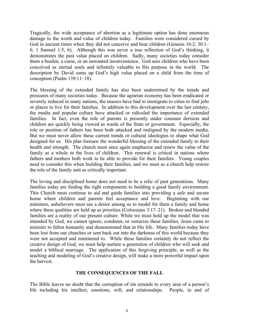Tragically, the wide acceptance of abortion as a legitimate option has done enormous damage to the worth and value of children today. Families were considered cursed by God in ancient times when they did not conceive and bear children (Genesis 16:2; 30:1– 6; 1 Samuel 1:5, 6). Although this was never a true reflection of God's thinking, it demonstrates the past value placed on children. Sadly, many societies today consider them a burden, a curse, or an unwanted inconvenience. God sees children who have been conceived as eternal souls and infinitely valuable to His purpose in the world. The description by David sums up God's high value placed on a child from the time of conception (Psalm 139:11–18).

The blessing of the extended family has also been undermined by the trends and pressures of many societies today. Because the agrarian economy has been eradicated or severely reduced in many nations, the masses have had to immigrate to cities to find jobs or places to live for their families. In addition to this development over the last century, the media and popular culture have attacked or ridiculed the importance of extended families. In fact, even the role of parents is presently under constant derision and children are quickly being viewed as wards of the State or government. Especially, the role or position of fathers has been both attacked and maligned by the modern media. But we must never allow these current trends or cultural ideologies to shape what God designed for us. His plan foresaw the wonderful blessing of the extended family to their health and strength. The church must once again emphasize and renew the value of the family as a whole in the lives of children. This renewal is critical in nations where fathers and mothers both work to be able to provide for their families. Young couples need to consider this when building their families, and we must as a church help restore the role of the family unit as critically important.

The loving and disciplined home does not need to be a relic of past generations. Many families today are finding the right components to building a good family environment. This Church must continue to aid and guide families into providing a safe and secure home where children and parents feel acceptance and love. Beginning with our ministers, unbelievers must see a desire among us to model for them a family and home where these qualities are held up as priorities (Colossians 3:17–21). Broken and blended families are a reality of our present culture. While we must hold up the model that was intended by God, we cannot ignore, condemn, or ostracize these families. Jesus came to minister to fallen humanity and demonstrated that in His life. Many families today have been lost from our churches or sent back out into the darkness of this world because they were not accepted and ministered to. While these families certainly do not reflect the creative design of God, we must help nurture a generation of children who will seek and model a biblical marriage. The application of this forgiving principle, as well as the teaching and modeling of God's creative design, will make a more powerful impact upon the harvest.

#### **THE CONSEQUENCES OF THE FALL**

The Bible leaves no doubt that the corruption of sin extends to every area of a person's life including his intellect, emotions, will, and relationships. People, in and of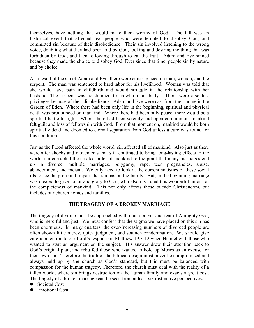themselves, have nothing that would make them worthy of God. The fall was an historical event that affected real people who were tempted to disobey God, and committed sin because of their disobedience. Their sin involved listening to the wrong voice, doubting what they had been told by God, looking and desiring the thing that was forbidden by God, and then following through to eat the fruit. Adam and Eve sinned because they made the choice to disobey God. Ever since that time, people sin by nature and by choice.

As a result of the sin of Adam and Eve, there were curses placed on man, woman, and the serpent. The man was sentenced to hard labor for his livelihood. Woman was told that she would have pain in childbirth and would struggle in the relationship with her husband. The serpent was condemned to crawl on his belly. There were also lost privileges because of their disobedience. Adam and Eve were cast from their home in the Garden of Eden. Where there had been only life in the beginning, spiritual and physical death was pronounced on mankind. Where there had been only peace, there would be a spiritual battle to fight. Where there had been serenity and open communion, mankind felt guilt and loss of fellowship with God. From that moment on, mankind would be born spiritually dead and doomed to eternal separation from God unless a cure was found for this condition.

Just as the Flood affected the whole world, sin affected all of mankind. Also just as there were after shocks and movements that still continued to bring long-lasting effects to the world, sin corrupted the created order of mankind to the point that many marriages end up in divorce, multiple marriages, polygamy, rape, teen pregnancies, abuse, abandonment, and racism. We only need to look at the current statistics of these social ills to see the profound impact that sin has on the family. But, in the beginning marriage was created to give honor and glory to God, who also instituted this wonderful union for the completeness of mankind. This not only affects those outside Christendom, but includes our church homes and families.

#### **THE TRAGEDY OF A BROKEN MARRIAGE**

The tragedy of divorce must be approached with much prayer and fear of Almighty God, who is merciful and just. We must confess that the stigma we have placed on this sin has been enormous. In many quarters, the ever-increasing numbers of divorced people are often shown little mercy, quick judgment, and staunch condemnation. We should give careful attention to our Lord's response in Matthew 19:3-12 when He met with those who wanted to start an argument on the subject. His answer drew their attention back to God's original plan, and rebuffed those who wanted to hold up Moses as an excuse for their own sin. Therefore the truth of the biblical design must never be compromised and always held up by the church as God's standard, but this must be balanced with compassion for the human tragedy. Therefore, the church must deal with the reality of a fallen world, where sin brings destruction on the human family and exacts a great cost. The tragedy of a broken marriage can be seen from at least six distinctive perspectives:

- Societal Cost
- Emotional Cost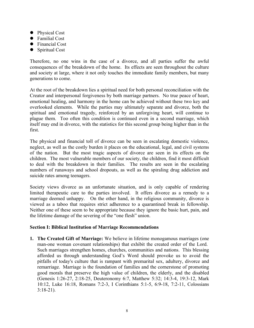- Physical Cost
- $\bullet$  Familial Cost
- Financial Cost
- $\bullet$  Spiritual Cost

Therefore, no one wins in the case of a divorce, and all parties suffer the awful consequences of the breakdown of the home. Its effects are seen throughout the culture and society at large, where it not only touches the immediate family members, but many generations to come.

At the root of the breakdown lies a spiritual need for both personal reconciliation with the Creator and interpersonal forgiveness by both marriage partners. No true peace of heart, emotional healing, and harmony in the home can be achieved without these two key and overlooked elements. While the parties may ultimately separate and divorce, both the spiritual and emotional tragedy, reinforced by an unforgiving heart, will continue to plague them. Too often this condition is continued even in a second marriage, which itself may end in divorce, with the statistics for this second group being higher than in the first.

The physical and financial toll of divorce can be seen in escalating domestic violence, neglect, as well as the costly burden it places on the educational, legal, and civil systems of the nation. But the most tragic aspects of divorce are seen in its effects on the children. The most vulnerable members of our society, the children, find it most difficult to deal with the breakdown in their families. The results are seen in the escalating numbers of runaways and school dropouts, as well as the spiraling drug addiction and suicide rates among teenagers.

Society views divorce as an unfortunate situation, and is only capable of rendering limited therapeutic care to the parties involved. It offers divorce as a remedy to a marriage deemed unhappy. On the other hand, in the religious community, divorce is viewed as a taboo that requires strict adherence to a quarantined break in fellowship. Neither one of these seem to be appropriate because they ignore the basic hurt, pain, and the lifetime damage of the severing of the "one flesh" union.

#### **Section I: Biblical Institution of Marriage Recommendations**

**1. The Created Gift of Marriage:** We believe in lifetime monogamous marriages (one man-one woman covenant relationships) that exhibit the created order of the Lord. Such marriages strengthen homes, churches, communities and nations. This blessing afforded us through understanding God's Word should provoke us to avoid the pitfalls of today's culture that is rampant with premarital sex, adultery, divorce and remarriage. Marriage is the foundation of families and the cornerstone of promoting good morals that preserve the high value of children, the elderly, and the disabled (Genesis 1:26-27, 2:18-25, Deuteronomy 6:7, Matthew 5:32; 14:3-4, 19:3-12, Mark 10:12, Luke 16:18, Romans 7:2-3, I Corinthians 5:1-5, 6:9-18, 7:2-11, Colossians 3:18-21).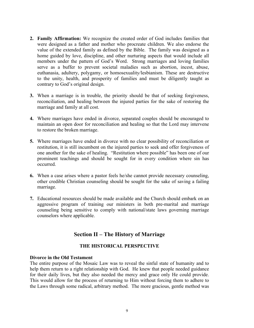- **2. Family Affirmation:** We recognize the created order of God includes families that were designed as a father and mother who procreate children. We also endorse the value of the extended family as defined by the Bible. The family was designed as a home guided by love, discipline, and other nurturing aspects that would include all members under the pattern of God's Word. Strong marriages and loving families serve as a buffer to prevent societal maladies such as abortion, incest, abuse, euthanasia, adultery, polygamy, or homosexuality/lesbianism. These are destructive to the unity, health, and prosperity of families and must be diligently taught as contrary to God's original design.
- **3.** When a marriage is in trouble, the priority should be that of seeking forgiveness, reconciliation, and healing between the injured parties for the sake of restoring the marriage and family at all cost.
- **4.** Where marriages have ended in divorce, separated couples should be encouraged to maintain an open door for reconciliation and healing so that the Lord may intervene to restore the broken marriage.
- **5.** Where marriages have ended in divorce with no clear possibility of reconciliation or restitution, it is still incumbent on the injured parties to seek and offer forgiveness of one another for the sake of healing. "Restitution where possible" has been one of our prominent teachings and should be sought for in every condition where sin has occurred.
- **6.** When a case arises where a pastor feels he/she cannot provide necessary counseling, other credible Christian counseling should be sought for the sake of saving a failing marriage.
- **7.** Educational resources should be made available and the Church should embark on an aggressive program of training our ministers in both pre-marital and marriage counseling being sensitive to comply with national/state laws governing marriage counselors where applicable.

# **Section II – The History of Marriage**

#### **THE HISTORICAL PERSPECTIVE**

#### **Divorce in the Old Testament**

The entire purpose of the Mosaic Law was to reveal the sinful state of humanity and to help them return to a right relationship with God. He knew that people needed guidance for their daily lives, but they also needed the mercy and grace only He could provide. This would allow for the process of returning to Him without forcing them to adhere to the Laws through some radical, arbitrary method. The more gracious, gentle method was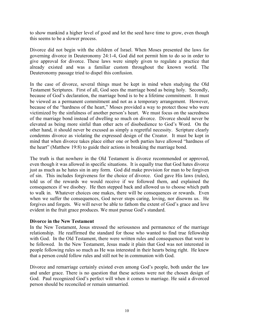to show mankind a higher level of good and let the seed have time to grow, even though this seems to be a slower process.

Divorce did not begin with the children of Israel. When Moses presented the laws for governing divorce in Deuteronomy 24:1-4, God did not permit him to do so in order to give approval for divorce. These laws were simply given to regulate a practice that already existed and was a familiar custom throughout the known world. The Deuteronomy passage tried to dispel this confusion.

In the case of divorce, several things must be kept in mind when studying the Old Testament Scriptures. First of all, God sees the marriage bond as being holy. Secondly, because of God's declaration, the marriage bond is to be a lifetime commitment. It must be viewed as a permanent commitment and not as a temporary arrangement. However, because of the "hardness of the heart," Moses provided a way to protect those who were victimized by the sinfulness of another person's heart. We must focus on the sacredness of the marriage bond instead of dwelling so much on divorce. Divorce should never be elevated as being more sinful than other acts of disobedience to God's Word. On the other hand, it should never be excused as simply a regretful necessity. Scripture clearly condemns divorce as violating the expressed design of the Creator. It must be kept in mind that when divorce takes place either one or both parties have allowed "hardness of the heart" (Matthew 19:8) to guide their actions in breaking the marriage bond.

The truth is that nowhere in the Old Testament is divorce recommended or approved, even though it was allowed in specific situations. It is equally true that God hates divorce just as much as he hates sin in any form. God did make provision for man to be forgiven of sin. This includes forgiveness for the choice of divorce. God gave His laws (rules), told us of the rewards we would receive if we followed them, and explained the consequences if we disobey. He then stepped back and allowed us to choose which path to walk in. Whatever choices one makes, there will be consequences or rewards. Even when we suffer the consequences, God never stops caring, loving, nor disowns us. He forgives and forgets. We will never be able to fathom the extent of God's grace and love evident in the fruit grace produces. We must pursue God's standard.

#### **Divorce in the New Testament**

In the New Testament, Jesus stressed the seriousness and permanence of the marriage relationship. He reaffirmed the standard for those who wanted to find true fellowship with God. In the Old Testament, there were written rules and consequences that were to be followed. In the New Testament, Jesus made it plain that God was not interested in people following rules so much as He was interested in their hearts being right. He knew that a person could follow rules and still not be in communion with God.

Divorce and remarriage certainly existed even among God's people, both under the law and under grace. There is no question that these actions were not the chosen design of God. Paul recognized God's perfect will when it comes to marriage. He said a divorced person should be reconciled or remain unmarried.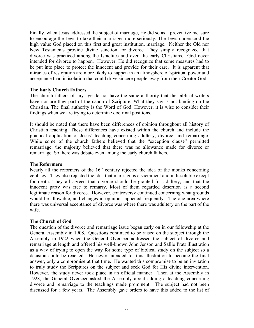Finally, when Jesus addressed the subject of marriage, He did so as a preventive measure to encourage the Jews to take their marriages more seriously. The Jews understood the high value God placed on this first and great institution, marriage. Neither the Old nor New Testaments provide divine sanction for divorce. They simply recognized that divorce was practiced among the Israelites and even the early Christians. God never intended for divorce to happen. However, He did recognize that some measures had to be put into place to protect the innocent and provide for their care. It is apparent that miracles of restoration are more likely to happen in an atmosphere of spiritual power and acceptance than in isolation that could drive sincere people away from their Creator God.

#### **The Early Church Fathers**

The church fathers of any age do not have the same authority that the biblical writers have nor are they part of the canon of Scripture. What they say is not binding on the Christian. The final authority is the Word of God. However, it is wise to consider their findings when we are trying to determine doctrinal positions.

It should be noted that there have been differences of opinion throughout all history of Christian teaching. These differences have existed within the church and include the practical application of Jesus' teaching concerning adultery, divorce, and remarriage. While some of the church fathers believed that the "exception clause" permitted remarriage, the majority believed that there was no allowance made for divorce or remarriage. So there was debate even among the early church fathers.

#### **The Reformers**

Nearly all the reformers of the  $16<sup>th</sup>$  century rejected the idea of the monks concerning celibacy. They also rejected the idea that marriage is a sacrament and indissoluble except for death. They all agreed that divorce should be granted for adultery, and that the innocent party was free to remarry. Most of them regarded desertion as a second legitimate reason for divorce. However, controversy continued concerning what grounds would be allowable, and changes in opinion happened frequently. The one area where there was universal acceptance of divorce was where there was adultery on the part of the wife.

#### **The Church of God**

The question of the divorce and remarriage issue began early on in our fellowship at the General Assembly in 1908. Questions continued to be raised on the subject through the Assembly in 1922 when the General Overseer addressed the subject of divorce and remarriage at length and offered his well-known John Jenson and Sallie Pratt illustration as a way of trying to open the way for some type of biblical study on the subject so a decision could be reached. He never intended for this illustration to become the final answer, only a compromise at that time. He wanted this compromise to be an invitation to truly study the Scriptures on the subject and seek God for His divine intervention. However, the study never took place in an official manner. Then at the Assembly in 1928, the General Overseer asked the Assembly about adding a teaching concerning divorce and remarriage to the teachings made prominent. The subject had not been discussed for a few years. The Assembly gave orders to have this added to the list of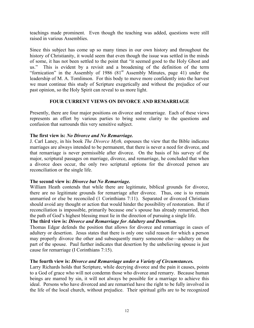teachings made prominent. Even though the teaching was added, questions were still raised in various Assemblies.

Since this subject has come up so many times in our own history and throughout the history of Christianity, it would seem that even though the issue was settled in the minds of some, it has not been settled to the point that "it seemed good to the Holy Ghost and us." This is evident by a revisit and a broadening of the definition of the term "fornication" in the Assembly of 1986  $(81<sup>st</sup>$  Assembly Minutes, page 41) under the leadership of M. A. Tomlinson. For this body to move more confidently into the harvest we must continue this study of Scripture exegetically and without the prejudice of our past opinion, so the Holy Spirit can reveal to us more light.

#### **FOUR CURRENT VIEWS ON DIVORCE AND REMARRIAGE**

Presently, there are four major positions on divorce and remarriage. Each of these views represents an effort by various parties to bring some clarity to the questions and confusion that surrounds this very sensitive subject.

#### **The first view is:** *No Divorce and No Remarriage.*

J. Carl Laney, in his book *The Divorce Myth,* espouses the view that the Bible indicates marriages are always intended to be permanent, that there is never a need for divorce, and that remarriage is never permissible after divorce. On the basis of his survey of the major, scriptural passages on marriage, divorce, and remarriage, he concluded that when a divorce does occur, the only two scriptural options for the divorced person are reconciliation or the single life.

#### **The second view is:** *Divorce but No Remarriage.*

William Heath contends that while there are legitimate, biblical grounds for divorce, there are no legitimate grounds for remarriage after divorce. Thus, one is to remain unmarried or else be reconciled (1 Corinthians 7:11). Separated or divorced Christians should avoid any thought or action that would hinder the possibility of restoration. But if reconciliation is impossible, primarily because one's spouse has already remarried, then the path of God's highest blessing must lie in the direction of pursuing a single life.

#### **The third view is:** *Divorce and Remarriage for Adultery and Desertion.*

Thomas Edgar defends the position that allows for divorce and remarriage in cases of adultery or desertion. Jesus states that there is only one valid reason for which a person may properly divorce the other and subsequently marry someone else—adultery on the part of the spouse. Paul further indicates that desertion by the unbelieving spouse is just cause for remarriage (I Corinthians 7:15).

#### **The fourth view is:** *Divorce and Remarriage under a Variety of Circumstances.*

Larry Richards holds that Scripture, while decrying divorce and the pain it causes, points to a God of grace who will not condemn those who divorce and remarry. Because human beings are marred by sin, it will not always be possible for a marriage to achieve this ideal. Persons who have divorced and are remarried have the right to be fully involved in the life of the local church, without prejudice. Their spiritual gifts are to be recognized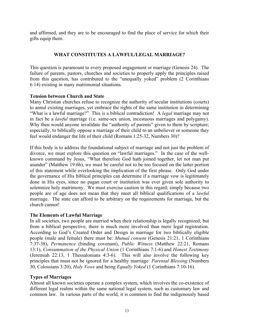and affirmed, and they are to be encouraged to find the place of service for which their gifts equip them.

#### **WHAT CONSTITUTES A LAWFUL/LEGAL MARRIAGE?**

This question is paramount to every proposed engagement or marriage (Genesis 24). The failure of parents, pastors, churches and societies to properly apply the principles raised from this question, has contributed to the "unequally yoked" problem (2 Corinthians 6:14) existing in many matrimonial situations.

#### **Tension between Church and State**

Many Christian churches refuse to recognize the authority of secular institutions (courts) to annul existing marriages, yet embrace the rights of the same institution in determining "What is a lawful marriage?" This is a biblical contradiction! A *legal* marriage may not in fact be a *lawful* marriage (i.e. same-sex union, incestuous marriages and polygamy). Why then would anyone invalidate the "authority of parents" given to them by scripture; especially, to biblically oppose a marriage of their child to an unbeliever or someone they feel would endanger the life of their child (Romans 1:25-32, Numbers 30)?

If this body is to address the foundational subject of marriage and not just the problem of divorce, we must explore this question on "lawful marriages." In the case of the wellknown command by Jesus, "What therefore God hath joined together, let not man put asunder" (Matthew 19:6b), we must be careful not to be too focused on the latter portion of this statement while overlooking the implication of the first phrase. Only God under the governance of His biblical principles can determine if a marriage vow is legitimately done in His eyes, since no pagan court or institution was ever given sole authority to solemnize holy matrimony. We must exercise caution in this regard; simply because two people are of age does not mean that they meet all biblical qualifications of a *lawful* marriage. The state can afford to be arbitrary on the requirements for marriage, but the church cannot!

#### **The Elements of Lawful Marriage**

In all societies, two people are married when their relationship is legally recognized; but from a biblical perspective, there is much more involved than mere legal registration. According to God's Created Order and Design in marriage for two biblically eligible people (male and female) there must be: *Mutual consent* (Genesis 21:21, 1 Corinthians 7:37-38), *Permanence* (binding covenant), *Public Witness* (Matthew 22:21, Romans 13:1), *Consummation of the Physical Union* (1 Corinthians 7:1-6) and *Honest Testimony* (Jeremiah 22:13, 1 Thessalonians 4:3-6). This will also involve the following key principles that must not be ignored for a healthy marriage: *Parental Blessing* (Numbers 30, Colossians 3:20), *Holy Vows* and being *Equally Yoked* (1 Corinthians 7:10-16).

#### **Types of Marriages**

Almost all known societies operate a complex system, which involves the co-existence of different legal realms within the same national legal system, such as customary law and common law. In various parts of the world, it is common to find the indigenously based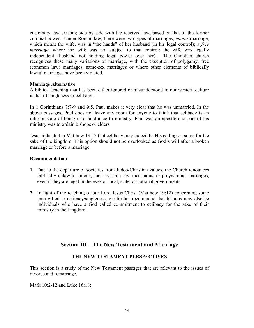customary law existing side by side with the received law, based on that of the former colonial power. Under Roman law, there were two types of marriages; *manus* marriage, which meant the wife, was in "the hands" of her husband (in his legal control); a *free marriage*, where the wife was not subject to that control; the wife was legally independent (husband not holding legal power over her). The Christian church recognizes these many variations of marriage, with the exception of polygamy, free (common law) marriages, same-sex marriages or where other elements of biblically lawful marriages have been violated.

#### **Marriage Alternative**

A biblical teaching that has been either ignored or misunderstood in our western culture is that of singleness or celibacy.

In 1 Corinthians 7:7-9 and 9:5, Paul makes it very clear that he was unmarried. In the above passages, Paul does not leave any room for anyone to think that celibacy is an inferior state of being or a hindrance to ministry. Paul was an apostle and part of his ministry was to ordain bishops or elders.

Jesus indicated in Matthew 19:12 that celibacy may indeed be His calling on some for the sake of the kingdom. This option should not be overlooked as God's will after a broken marriage or before a marriage.

#### **Recommendation**

- **1.** Due to the departure of societies from Judeo-Christian values, the Church renounces biblically unlawful unions, such as same sex, incestuous, or polygamous marriages, even if they are legal in the eyes of local, state, or national governments.
- **2.** In light of the teaching of our Lord Jesus Christ (Matthew 19:12) concerning some men gifted to celibacy/singleness, we further recommend that bishops may also be individuals who have a God called commitment to celibacy for the sake of their ministry in the kingdom.

# **Section III – The New Testament and Marriage**

#### **THE NEW TESTAMENT PERSPECTIVES**

This section is a study of the New Testament passages that are relevant to the issues of divorce and remarriage.

Mark 10:2-12 and Luke 16:18: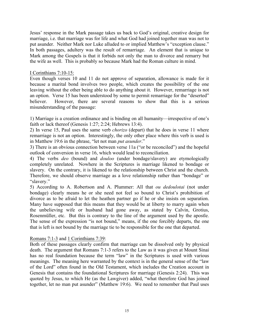Jesus' response in the Mark passage takes us back to God's original, creative design for marriage, i.e. that marriage was for life and what God had joined together man was not to put asunder. Neither Mark nor Luke alluded to or implied Matthew's "exception clause." In both passages, adultery was the result of remarriage. An element that is unique to Mark among the Gospels is that it forbids not only the man to divorce and remarry but the wife as well. This is probably so because Mark had the Roman culture in mind.

#### I Corinthians 7:10-15:

Even though verses 10 and 11 do not approve of separation, allowance is made for it because a marital bond involves two people, which creates the possibility of the one leaving without the other being able to do anything about it. However, remarriage is not an option. Verse 15 has been understood by some to permit remarriage for the "deserted" believer. However, there are several reasons to show that this is a serious misunderstanding of the passage:

1) Marriage is a creation ordinance and is binding on all humanity—irrespective of one's faith or lack thereof (Genesis 1:27; 2:24; Hebrews 13:4).

2) In verse 15, Paul uses the same verb *chorizo* (depart) that he does in verse 11 where remarriage is not an option. Interestingly, the only other place where this verb is used is in Matthew 19:6 in the phrase, "let not man *put asunder*."

3) There is an obvious connection between verse 11a ("or be reconciled") and the hopeful outlook of conversion in verse 16, which would lead to reconciliation.

4) The verbs *deo* (bound) and *douloo* (under bondage/slavery) are etymologically completely unrelated. Nowhere in the Scriptures is marriage likened to bondage or slavery. On the contrary, it is likened to the relationship between Christ and the church. Therefore, we should observe marriage as a love relationship rather than "bondage" or "slavery."

5) According to A. Robertson and A. Plummer: All that *ou dedoulotai* (not under bondage) clearly means he or she need not feel so bound to Christ's prohibition of divorce as to be afraid to let the heathen partner go if he or she insists on separation. Many have supposed that this means that they would be at liberty to marry again when the unbelieving wife or husband had gone away, as stated by Calvin, Grotius, Rosenmüller, etc. But this is contrary to the line of the argument used by the apostle. The sense of the expression "is not bound," means, if the one forcibly departs, the one that is left is not bound by the marriage tie to be responsible for the one that departed.

#### Romans 7:1-3 and 1 Corinthians 7:39:

Both of these passages clearly confirm that marriage can be dissolved only by physical death. The argument that Romans 7:1-3 refers to the Law as it was given at Mount Sinai has no real foundation because the term "law" in the Scriptures is used with various meanings. The meaning here warranted by the context is in the general sense of the "law of the Lord" often found in the Old Testament, which includes the Creation account in Genesis that contains the foundational Scriptures for marriage (Genesis 2:24). This was quoted by Jesus, to which He (as the Lawgiver) added, "what therefore God has joined together, let no man put asunder" (Matthew 19:6). We need to remember that Paul uses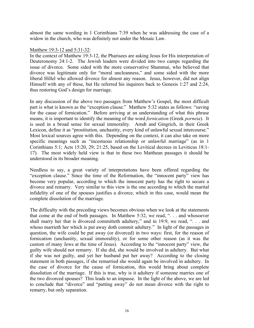almost the same wording in 1 Corinthians 7:39 when he was addressing the case of a widow in the church, who was definitely not under the Mosaic Law.

#### Matthew 19:3-12 and 5:31-32:

In the context of Matthew 19:3-12, the Pharisees are asking Jesus for His interpretation of Deuteronomy 24:1-2. The Jewish leaders were divided into two camps regarding the issue of divorce. Some sided with the more conservative Shammai, who believed that divorce was legitimate only for "moral uncleanness," and some sided with the more liberal Hillel who allowed divorce for almost any reason. Jesus, however, did not align Himself with any of these, but He referred his inquirers back to Genesis 1:27 and 2:24, thus restoring God's design for marriage.

In any discussion of the above two passages from Matthew's Gospel, the most difficult part is what is known as the "exception clause." Matthew 5:32 states as follows: "saving for the cause of fornication." Before arriving at an understanding of what this phrase means, it is important to identify the meaning of the word *fornication* (Greek *porneia*). It is used in a broad sense for sexual immorality. Arndt and Gingrich, in their Greek Lexicon, define it as "prostitution, unchastity, every kind of unlawful sexual intercourse." Most lexical sources agree with this. Depending on the context, it can also take on more specific meanings such as "incestuous relationship or unlawful marriage" (as in 1 Corinthians 5:1; Acts 15:20, 29; 21:25, based on the Levitical decrees in Leviticus 18:1- 17). The most widely held view is that in these two Matthean passages it should be understood in its broader meaning.

Needless to say, a great variety of interpretations have been offered regarding the "exception clause." Since the time of the Reformation, the "innocent party" view has become very popular, according to which the innocent party has the right to secure a divorce and remarry. Very similar to this view is the one according to which the marital infidelity of one of the spouses justifies a divorce, which in this case, would mean the complete dissolution of the marriage.

The difficulty with the preceding views becomes obvious when we look at the statements that come at the end of both passages. In Matthew 5:32, we read, ". . . and whosoever shall marry her that is divorced committeth adultery," and in 19:9, we read, ". . . and whoso marrieth her which is put away doth commit adultery." In light of the passages in question, the wife could be put away (or divorced) in two ways: first, for the reason of fornication (unchastity, sexual immorality), or for some other reason (as it was the custom of many Jews at the time of Jesus). According to the "innocent party" view, the guilty wife should not remarry. If she did, she would be involved in adultery. But what if she was not guilty, and yet her husband put her away? According to the closing statement in both passages, if she remarried she would again be involved in adultery. In the case of divorce for the cause of fornication, this would bring about complete dissolution of the marriage. If this is true, why is it adultery if someone marries one of the two divorced spouses? This leads to an impasse. In the light of the above, we are led to conclude that "divorce" and "putting away" do not mean divorce with the right to remarry, but only separation.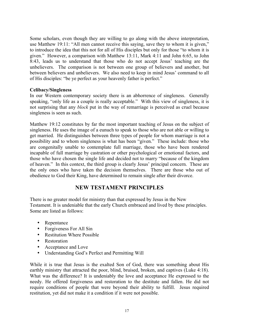Some scholars, even though they are willing to go along with the above interpretation, use Matthew 19:11: "All men cannot receive this saying, save they to whom it is given," to introduce the idea that this not for all of His disciples but only for those "to whom it is given." However, a comparison with Matthew 13:11, Mark 4:11 and John 6:65, to John 8:43, leads us to understand that those who do not accept Jesus' teaching are the unbelievers. The comparison is not between one group of believers and another, but between believers and unbelievers. We also need to keep in mind Jesus' command to all of His disciples: "be ye perfect as your heavenly father is perfect."

#### **Celibacy/Singleness**

In our Western contemporary society there is an abhorrence of singleness. Generally speaking, "only life as a couple is really acceptable." With this view of singleness, it is not surprising that any *block* put in the way of remarriage is perceived as cruel because singleness is seen as such.

Matthew 19:12 constitutes by far the most important teaching of Jesus on the subject of singleness. He uses the image of a eunuch to speak to those who are not able or willing to get married. He distinguishes between three types of people for whom marriage is not a possibility and to whom singleness is what has been "given." These include: those who are congenitally unable to contemplate full marriage, those who have been rendered incapable of full marriage by castration or other psychological or emotional factors, and those who have chosen the single life and decided not to marry "because of the kingdom of heaven." In this context, the third group is clearly Jesus' principal concern. These are the only ones who have taken the decision themselves. There are those who out of obedience to God their King, have determined to remain single after their divorce.

# **NEW TESTAMENT PRINCIPLES**

There is no greater model for ministry than that expressed by Jesus in the New Testament. It is undeniable that the early Church embraced and lived by these principles. Some are listed as follows:

- Repentance
- Forgiveness For All Sin
- Restitution Where Possible
- Restoration
- Acceptance and Love
- Understanding God's Perfect and Permitting Will

While it is true that Jesus is the exalted Son of God, there was something about His earthly ministry that attracted the poor, blind, bruised, broken, and captives (Luke 4:18). What was the difference? It is undeniably the love and acceptance He expressed to the needy. He offered forgiveness and restoration to the destitute and fallen. He did not require conditions of people that were beyond their ability to fulfill. Jesus required restitution, yet did not make it a condition if it were not possible.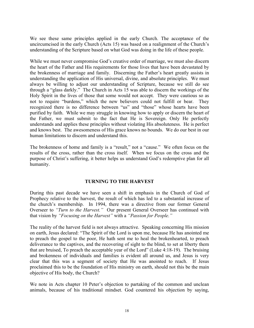We see these same principles applied in the early Church. The acceptance of the uncircumcised in the early Church (Acts 15) was based on a realignment of the Church's understanding of the Scripture based on what God was doing in the life of these people.

While we must never compromise God's creative order of marriage, we must also discern the heart of the Father and His requirements for those lives that have been devastated by the brokenness of marriage and family. Discerning the Father's heart greatly assists in understanding the application of His universal, divine, and absolute principles. We must always be willing to adjust our understanding of Scripture, because we still do see through a "glass darkly." The Church in Acts 15 was able to discern the workings of the Holy Spirit in the lives of those that some would not accept. They were cautious so as not to require "burdens," which the new believers could not fulfill or bear. They recognized there is no difference between "us" and "those" whose hearts have been purified by faith. While we may struggle in knowing how to apply or discern the heart of the Father, we must submit to the fact that He is Sovereign. Only He perfectly understands and applies these principles without violating His absoluteness. He is perfect and knows best. The awesomeness of His grace knows no bounds. We do our best in our human limitations to discern and understand this.

The brokenness of home and family is a "result," not a "cause." We often focus on the results of the cross, rather than the cross itself. When we focus on the cross and the purpose of Christ's suffering, it better helps us understand God's redemptive plan for all humanity.

#### **TURNING TO THE HARVEST**

During this past decade we have seen a shift in emphasis in the Church of God of Prophecy relative to the harvest, the result of which has led to a substantial increase of the church's membership. In 1994, there was a directive from our former General Overseer to *"Turn to the Harvest."* Our present General Overseer has continued with that vision by *"Focusing on the Harvest"* with a *"Passion for People."*

The reality of the harvest field is not always attractive. Speaking concerning His mission on earth, Jesus declared: "The Spirit of the Lord is upon me, because He has anointed me to preach the gospel to the poor, He hath sent me to heal the brokenhearted, to preach deliverance to the captives, and the recovering of sight to the blind, to set at liberty them that are bruised, To preach the acceptable year of the Lord" (Luke 4:18-19). The bruising and brokenness of individuals and families is evident all around us, and Jesus is very clear that this was a segment of society that He was anointed to reach. If Jesus proclaimed this to be the foundation of His ministry on earth, should not this be the main objective of His body, the Church?

We note in Acts chapter 10 Peter's objection to partaking of the common and unclean animals, because of his traditional mindset. God countered his objection by saying,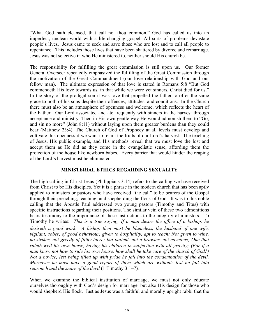"What God hath cleansed, that call not thou common." God has called us into an imperfect, unclean world with a life-changing gospel. All sorts of problems devastate people's lives. Jesus came to seek and save those who are lost and to call all people to repentance. This includes those lives that have been shattered by divorce and remarriage. Jesus was not selective in who He ministered to, neither should His church be.

The responsibility for fulfilling the great commission is still upon us. Our former General Overseer repeatedly emphasized the fulfilling of the Great Commission through the motivation of the Great Commandment (our love relationship with God and our fellow man). The ultimate expression of that love is stated in Romans 5:8 "But God commendeth His love towards us, in that while we were yet sinners, Christ died for us." In the story of the prodigal son it was love that propelled the father to offer the same grace to both of his sons despite their offences, attitudes, and conditions. In the Church there must also be an atmosphere of openness and welcome, which reflects the heart of the Father. Our Lord associated and ate frequently with sinners in the harvest through acceptance and ministry. Then in His own gentle way He would admonish them to "Go, and sin no more" (John 8:11) without laying upon them greater burdens than they could bear (Matthew 23:4). The Church of God of Prophecy at all levels must develop and cultivate this openness if we want to retain the fruits of our Lord's harvest. The teaching of Jesus, His public example, and His methods reveal that we must love the lost and accept them as He did as they come in the evangelistic sense, affording them the protection of the house like newborn babes. Every barrier that would hinder the reaping of the Lord's harvest must be eliminated.

#### **MINISTERIAL ETHICS REGARDING SEXUALITY**

The high calling in Christ Jesus (Philippians 3:14) refers to the calling we have received from Christ to be His disciples. Yet it is a phrase in the modern church that has been aptly applied to ministers or pastors who have received "the call" to be bearers of the Gospel through their preaching, teaching, and shepherding the flock of God. It was to this noble calling that the Apostle Paul addressed two young pastors (Timothy and Titus) with specific instructions regarding their positions. The similar vein of these two admonitions bears testimony to the importance of these instructions to the integrity of ministers. To Timothy he writes: *This is a true saying, If a man desire the office of a bishop, he desireth a good work. A bishop then must be blameless, the husband of one wife, vigilant, sober, of good behaviour, given to hospitality, apt to teach; Not given to wine, no striker, not greedy of filthy lucre; but patient, not a brawler, not covetous; One that ruleth well his own house, having his children in subjection with all gravity; (For if a man know not how to rule his own house, how shall he take care of the church of God?) Not a novice, lest being lifted up with pride he fall into the condemnation of the devil. Moreover he must have a good report of them which are without; lest he fall into reproach and the snare of the devil* (1 Timothy 3:1–7)*.*

When we examine the biblical institution of marriage, we must not only educate ourselves thoroughly with God's design for marriage, but also His design for those who would shepherd His flock. Just as Jesus was a faithful and morally upright rabbi that the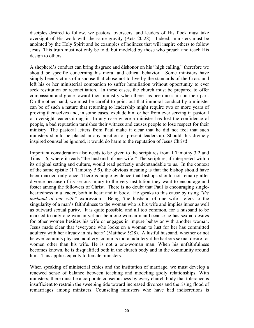disciples desired to follow, we pastors, overseers, and leaders of His flock must take oversight of His work with the same gravity (Acts 20:28). Indeed, ministers must be anointed by the Holy Spirit and be examples of holiness that will inspire others to follow Jesus. This truth must not only be told, but modeled by those who preach and teach His design to others.

A shepherd's conduct can bring disgrace and dishonor on his "high calling," therefore we should be specific concerning his moral and ethical behavior. Some ministers have simply been victims of a spouse that chose not to live by the standards of the Cross and left his or her ministerial companion to suffer humiliation without opportunity to ever seek restitution or reconciliation. In these cases, the church must be prepared to offer compassion and grace toward their ministry when there has been no stain on their part. On the other hand, we must be careful to point out that immoral conduct by a minister can be of such a nature that returning to leadership might require two or more years of proving themselves and, in some cases, exclude him or her from ever serving in pastoral or oversight leadership again. In any case where a minister has lost the confidence of people, a bad reputation tarnishes their witness and causes people to lose respect for their ministry. The pastoral letters from Paul make it clear that he did not feel that such ministers should be placed in any position of present leadership. Should this divinely inspired counsel be ignored, it would do harm to the reputation of Jesus Christ!

Important consideration also needs to be given to the scriptures from 1 Timothy 3:2 and Titus 1:6, where it reads "the husband of one wife.*"* The scripture, if interpreted within its original setting and culture, would read perfectly understandable to us. In the context of the same epistle (1 Timothy 5:9), the obvious meaning is that the bishop should have been married only once. There is ample evidence that bishops should not remarry after divorce because of its serious injury to the very institution they want to encourage and foster among the followers of Christ. There is no doubt that Paul is encouraging singleheartedness in a leader, both in heart and in body. He speaks to this cause by using *"the husband of one wife"* expression. Being 'the husband of one wife' refers to the singularity of a man's faithfulness to the woman who is his wife and implies inner as well as outward sexual purity. It is quite possible, and all too common, for a husband to be married to only one woman yet not be a one-woman man because he has sexual desires for other women besides his wife or engages in impure behavior with another woman. Jesus made clear that 'everyone who looks on a woman to lust for her has committed adultery with her already in his heart' (Matthew 5:28). A lustful husband, whether or not he ever commits physical adultery, commits moral adultery if he harbors sexual desire for women other than his wife. He is not a one-woman man. When his unfaithfulness becomes known, he is disqualified both in the church body and in the community around him. This applies equally to female ministers.

When speaking of ministerial ethics and the institution of marriage, we must develop a renewed sense of balance between teaching and modeling godly relationships. With ministers, there must be a corporate consciousness by every church body that tolerance is insufficient to restrain the sweeping tide toward increased divorces and the rising flood of remarriages among ministers. Counseling ministers who have had indiscretions is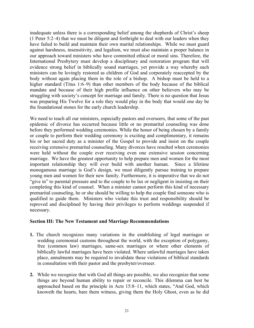inadequate unless there is a corresponding belief among the shepherds of Christ's sheep (1 Peter 5:2–4) that we must be diligent and forthright to deal with our leaders when they have failed to build and maintain their own marital relationships. While we must guard against harshness, insensitivity, and legalism, we must also maintain a proper balance in our approach toward ministers who have committed ethical or moral sins. Therefore, the International Presbytery must develop a disciplinary and restoration program that will evidence strong belief in biblically sound marriages, yet provide a way whereby such ministers can be lovingly restored as children of God and corporately reaccepted by the body without again placing them in the role of a bishop. A bishop must be held to a higher standard (Titus 1:6–9) than other members of the body because of the biblical mandate and because of their high profile influence on other believers who may be struggling with society's concept for marriage and family. There is no question that Jesus was preparing His Twelve for a role they would play in the body that would one day be the foundational stones for the early church leadership.

We need to teach all our ministers, especially pastors and overseers, that some of the past epidemic of divorce has occurred because little or no premarital counseling was done before they performed wedding ceremonies. While the honor of being chosen by a family or couple to perform their wedding ceremony is exciting and complimentary, it remains his or her sacred duty as a minister of the Gospel to provide and insist on the couple receiving extensive premarital counseling. Many divorces have resulted when ceremonies were held without the couple ever receiving even one extensive session concerning marriage. We have the greatest opportunity to help prepare men and women for the most important relationship they will ever build with another human. Since a lifetime monogamous marriage is God's design, we must diligently pursue training to prepare young men and women for their new family. Furthermore, it is imperative that we do not "give in" to parental pressure and to the couple to be lax or negligent in insisting on their completing this kind of counsel. When a minister cannot perform this kind of necessary premarital counseling, he or she should be willing to help the couple find someone who is qualified to guide them. Ministers who violate this trust and responsibility should be reproved and disciplined by having their privileges to perform weddings suspended if necessary.

#### **Section III: The New Testament and Marriage Recommendations**

- **1.** The church recognizes many variations in the establishing of legal marriages or wedding ceremonial customs throughout the world, with the exception of polygamy, free (common law) marriages, same-sex marriages or where other elements of biblically lawful marriages have been violated. Where unlawful marriages have taken place, annulments may be required to invalidate these violations of biblical standards in consultation with their pastor and the presbyter/overseer.
- **2.** While we recognize that with God all things are possible, we also recognize that some things are beyond human ability to repair or reconcile. This dilemma can best be approached based on the principle in Acts 15:8–11, which states, "And God, which knoweth the hearts, bare them witness, giving them the Holy Ghost, even as he did